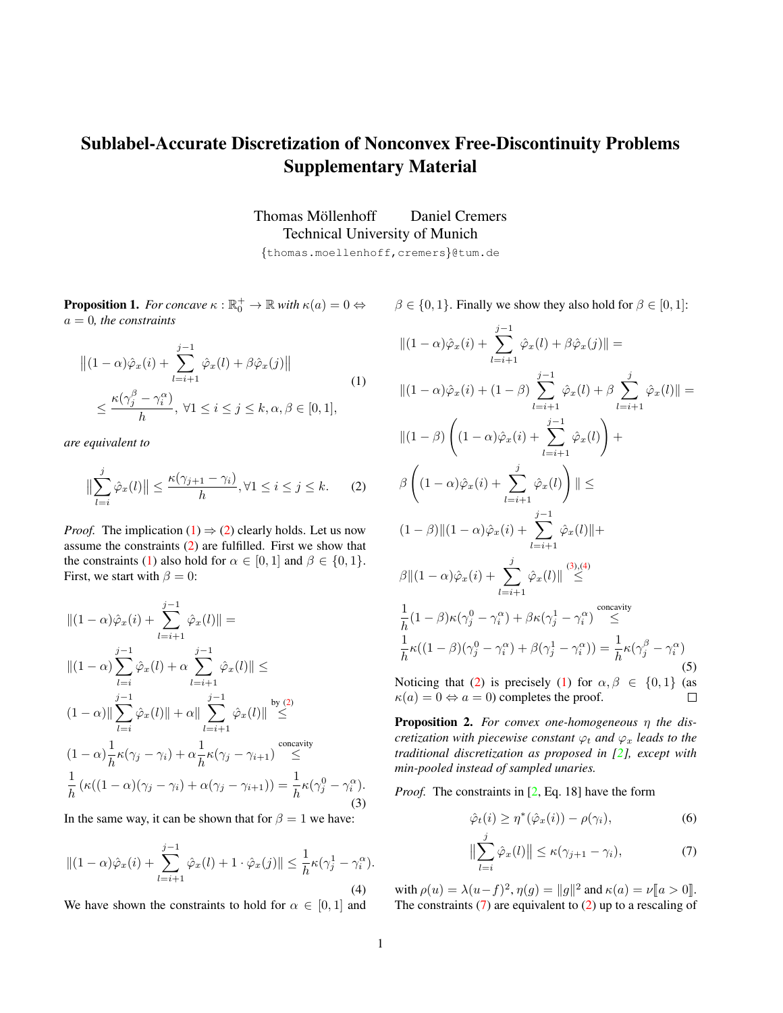## <span id="page-0-6"></span>Sublabel-Accurate Discretization of Nonconvex Free-Discontinuity Problems Supplementary Material

Thomas Möllenhoff in Daniel Cremers Technical University of Munich

{thomas.moellenhoff,cremers}@tum.de

**Proposition 1.** *For concave*  $\kappa : \mathbb{R}_0^+ \to \mathbb{R}$  *with*  $\kappa(a) = 0 \Leftrightarrow \beta \in \{0, 1\}$ . Finally we show they also hold for  $\beta \in [0, 1]$ : a = 0*, the constraints*

<span id="page-0-0"></span>
$$
\|(1 - \alpha)\hat{\varphi}_x(i) + \sum_{l=i+1}^{j-1} \hat{\varphi}_x(l) + \beta \hat{\varphi}_x(j)\|
$$
  

$$
\leq \frac{\kappa(\gamma_j^{\beta} - \gamma_i^{\alpha})}{h}, \forall 1 \leq i \leq j \leq k, \alpha, \beta \in [0, 1],
$$
 (1)

*are equivalent to*

<span id="page-0-1"></span>
$$
\left\|\sum_{l=i}^{j} \hat{\varphi}_x(l)\right\| \le \frac{\kappa(\gamma_{j+1} - \gamma_i)}{h}, \forall 1 \le i \le j \le k. \tag{2}
$$

*Proof.* The implication [\(1\)](#page-0-0)  $\Rightarrow$  [\(2\)](#page-0-1) clearly holds. Let us now assume the constraints [\(2\)](#page-0-1) are fulfilled. First we show that the constraints [\(1\)](#page-0-0) also hold for  $\alpha \in [0, 1]$  and  $\beta \in \{0, 1\}$ . First, we start with  $\beta = 0$ :

<span id="page-0-2"></span>
$$
\begin{aligned}\n\|(1-\alpha)\hat{\varphi}_x(i) + \sum_{l=i+1}^{j-1} \hat{\varphi}_x(l)\| &= \\
\|(1-\alpha)\sum_{l=i}^{j-1} \hat{\varphi}_x(l) + \alpha \sum_{l=i+1}^{j-1} \hat{\varphi}_x(l)\| &\leq \\
(1-\alpha)\|\sum_{l=i}^{j-1} \hat{\varphi}_x(l)\| + \alpha\|\sum_{l=i+1}^{j-1} \hat{\varphi}_x(l)\| &\leq \\
(1-\alpha)\frac{1}{h}\kappa(\gamma_j - \gamma_i) + \alpha\frac{1}{h}\kappa(\gamma_j - \gamma_{i+1}) &\leq \\
\frac{1}{h}\left(\kappa((1-\alpha)(\gamma_j - \gamma_i) + \alpha(\gamma_j - \gamma_{i+1}))\right) &= \frac{1}{h}\kappa(\gamma_j^0 - \gamma_i^{\alpha}).\n\end{aligned}
$$
\n(3)

In the same way, it can be shown that for  $\beta = 1$  we have:

<span id="page-0-3"></span>
$$
||(1-\alpha)\hat{\varphi}_x(i) + \sum_{l=i+1}^{j-1} \hat{\varphi}_x(l) + 1 \cdot \hat{\varphi}_x(j)|| \leq \frac{1}{h} \kappa(\gamma_j^1 - \gamma_i^{\alpha}).
$$
\n(4)

We have shown the constraints to hold for  $\alpha \in [0,1]$  and

$$
\| (1 - \alpha)\hat{\varphi}_x(i) + \sum_{l=i+1}^{j-1} \hat{\varphi}_x(l) + \beta \hat{\varphi}_x(j) \| =
$$
  

$$
\| (1 - \alpha)\hat{\varphi}_x(i) + (1 - \beta) \sum_{l=i+1}^{j-1} \hat{\varphi}_x(l) + \beta \sum_{l=i+1}^{j} \hat{\varphi}_x(l) \| =
$$
  

$$
\| (1 - \beta) \left( (1 - \alpha)\hat{\varphi}_x(i) + \sum_{l=i+1}^{j-1} \hat{\varphi}_x(l) \right) +
$$
  

$$
\beta \left( (1 - \alpha)\hat{\varphi}_x(i) + \sum_{l=i+1}^{j} \hat{\varphi}_x(l) \right) \| \le
$$
  

$$
(1 - \beta) \| (1 - \alpha)\hat{\varphi}_x(i) + \sum_{l=i+1}^{j-1} \hat{\varphi}_x(l) \| +
$$
  

$$
\beta \| (1 - \alpha)\hat{\varphi}_x(i) + \sum_{l=i+1}^{j} \hat{\varphi}_x(l) \| \le
$$
  

$$
\frac{1}{h}(1 - \beta)\kappa(\gamma_j^0 - \gamma_i^\alpha) + \beta\kappa(\gamma_j^1 - \gamma_i^\alpha) \le
$$
  

$$
\frac{1}{h}\kappa((1 - \beta)(\gamma_j^0 - \gamma_i^\alpha) + \beta(\gamma_j^1 - \gamma_i^\alpha)) = \frac{1}{h}\kappa(\gamma_j^\beta - \gamma_i^\alpha)
$$
  
(5)  
Noticing that (2) is precisely (1) for  $\alpha, \beta \in \{0, 1\}$  (a)

Noticing that [\(2\)](#page-0-1) is precisely [\(1\)](#page-0-0) for  $\alpha, \beta \in \{0, 1\}$  (as  $\Box$  $\kappa(a) = 0 \Leftrightarrow a = 0$ ) completes the proof.

Proposition 2. *For convex one-homogeneous* η *the discretization with piecewise constant*  $\varphi_t$  *and*  $\varphi_x$  *leads to the traditional discretization as proposed in [\[2\]](#page-3-0), except with min-pooled instead of sampled unaries.*

*Proof.* The constraints in [\[2,](#page-3-0) Eq. 18] have the form

<span id="page-0-5"></span>
$$
\hat{\varphi}_t(i) \ge \eta^*(\hat{\varphi}_x(i)) - \rho(\gamma_i), \tag{6}
$$

<span id="page-0-4"></span>
$$
\left\|\sum_{l=i}^{j} \hat{\varphi}_x(l)\right\| \leq \kappa(\gamma_{j+1} - \gamma_i),\tag{7}
$$

with  $\rho(u) = \lambda(u-f)^2$ ,  $\eta(g) = ||g||^2$  and  $\kappa(a) = \nu[[a > 0]]$ .<br>The constraints (7) are equivalent to (2) up to a rescaling of The constraints  $(7)$  are equivalent to  $(2)$  up to a rescaling of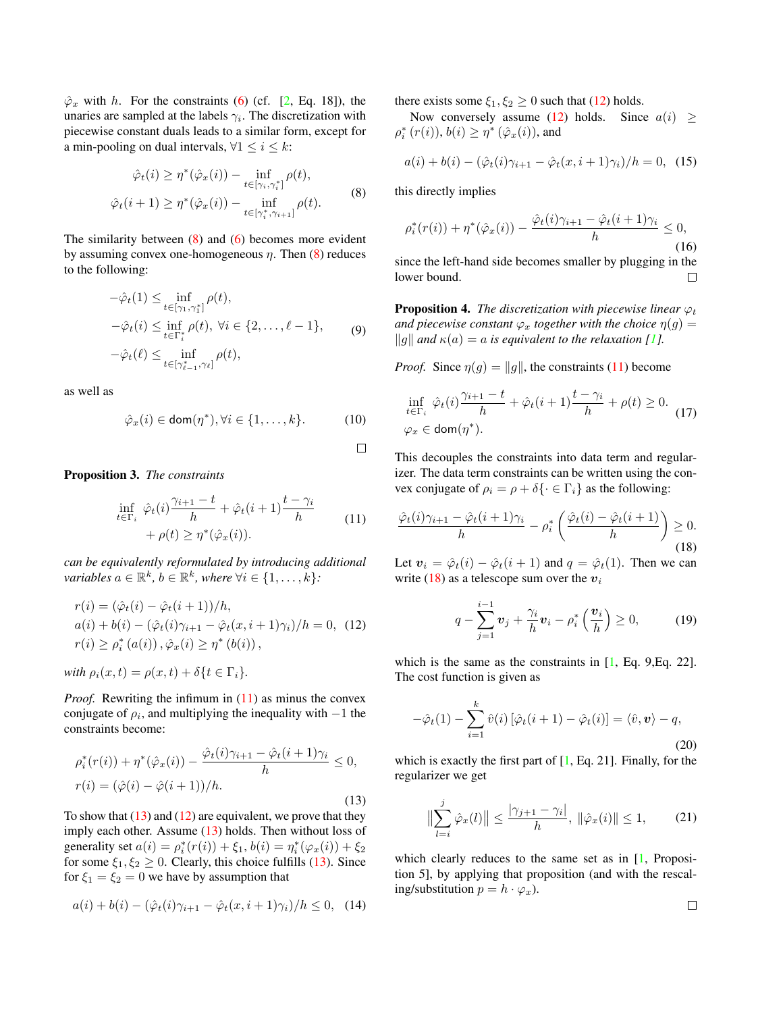<span id="page-1-8"></span> $\hat{\varphi}_x$  with h. For the constraints [\(6\)](#page-0-5) (cf. [\[2,](#page-3-0) Eq. 18]), the unaries are sampled at the labels  $\gamma_i$ . The discretization with piecewise constant duals leads to a similar form, except for a min-pooling on dual intervals,  $\forall 1 \leq i \leq k$ :

<span id="page-1-0"></span>
$$
\hat{\varphi}_t(i) \ge \eta^*(\hat{\varphi}_x(i)) - \inf_{t \in [\gamma_i, \gamma_i^*]} \rho(t),
$$
  

$$
\hat{\varphi}_t(i+1) \ge \eta^*(\hat{\varphi}_x(i)) - \inf_{t \in [\gamma_i^*, \gamma_{i+1}]} \rho(t).
$$
 (8)

The similarity between  $(8)$  and  $(6)$  becomes more evident by assuming convex one-homogeneous  $\eta$ . Then [\(8\)](#page-1-0) reduces to the following:

$$
-\hat{\varphi}_t(1) \leq \inf_{t \in [\gamma_1, \gamma_1^*]} \rho(t),
$$
  

$$
-\hat{\varphi}_t(i) \leq \inf_{t \in \Gamma_i^*} \rho(t), \ \forall i \in \{2, \dots, \ell - 1\},
$$
  

$$
-\hat{\varphi}_t(\ell) \leq \inf_{t \in [\gamma_{\ell-1}^*, \gamma_\ell]} \rho(t),
$$
 (9)

as well as

$$
\hat{\varphi}_x(i) \in \text{dom}(\eta^*), \forall i \in \{1, \dots, k\}. \tag{10}
$$

$$
\Box
$$

Proposition 3. *The constraints*

<span id="page-1-1"></span>
$$
\inf_{t \in \Gamma_i} \hat{\varphi}_t(i) \frac{\gamma_{i+1} - t}{h} + \hat{\varphi}_t(i+1) \frac{t - \gamma_i}{h} + \rho(t) \ge \eta^*(\hat{\varphi}_x(i)).
$$
\n(11)

*can be equivalently reformulated by introducing additional variables*  $a \in \mathbb{R}^k$ ,  $b \in \mathbb{R}^k$ , where  $\forall i \in \{1, \ldots, k\}$ :

<span id="page-1-3"></span>
$$
r(i) = (\hat{\varphi}_t(i) - \hat{\varphi}_t(i+1))/h,
$$
  
\n
$$
a(i) + b(i) - (\hat{\varphi}_t(i)\gamma_{i+1} - \hat{\varphi}_t(x, i+1)\gamma_i)/h = 0,
$$
 (12)  
\n
$$
r(i) \ge \rho_i^*(a(i)), \hat{\varphi}_x(i) \ge \eta^*(b(i)),
$$

*with*  $\rho_i(x,t) = \rho(x,t) + \delta\{t \in \Gamma_i\}.$ 

*Proof.* Rewriting the infimum in [\(11\)](#page-1-1) as minus the convex conjugate of  $\rho_i$ , and multiplying the inequality with  $-1$  the constraints become:

<span id="page-1-2"></span>
$$
\rho_i^*(r(i)) + \eta^*(\hat{\varphi}_x(i)) - \frac{\hat{\varphi}_t(i)\gamma_{i+1} - \hat{\varphi}_t(i+1)\gamma_i}{h} \le 0,
$$
  

$$
r(i) = (\hat{\varphi}(i) - \hat{\varphi}(i+1))/h.
$$
 (13)

To show that  $(13)$  and  $(12)$  are equivalent, we prove that they imply each other. Assume [\(13\)](#page-1-2) holds. Then without loss of generality set  $a(i) = \rho_i^*(r(i)) + \xi_1, b(i) = \eta_i^*(\varphi_x(i)) + \xi_2$ for some  $\xi_1, \xi_2 \geq 0$ . Clearly, this choice fulfills [\(13\)](#page-1-2). Since for  $\xi_1 = \xi_2 = 0$  we have by assumption that

$$
a(i) + b(i) - (\hat{\varphi}_t(i)\gamma_{i+1} - \hat{\varphi}_t(x, i+1)\gamma_i)/h \le 0, \quad (14)
$$

there exists some  $\xi_1, \xi_2 \geq 0$  such that [\(12\)](#page-1-3) holds.

Now conversely assume [\(12\)](#page-1-3) holds. Since  $a(i) \geq$  $\rho_i^*(r(i)), b(i) \geq \eta^*(\hat{\varphi}_x(i)),$  and

$$
a(i) + b(i) - (\hat{\varphi}_t(i)\gamma_{i+1} - \hat{\varphi}_t(x, i+1)\gamma_i)/h = 0, \quad (15)
$$

this directly implies

$$
\rho_i^*(r(i)) + \eta^*(\hat{\varphi}_x(i)) - \frac{\hat{\varphi}_t(i)\gamma_{i+1} - \hat{\varphi}_t(i+1)\gamma_i}{h} \le 0,
$$
\n(16)

since the left-hand side becomes smaller by plugging in the lower bound.  $\Box$ 

<span id="page-1-5"></span>**Proposition 4.** *The discretization with piecewise linear*  $\varphi_t$ *and piecewise constant*  $\varphi_x$  *together with the choice*  $\eta(g)$  =  $\|g\|$  and  $\kappa(a) = a$  *is equivalent to the relaxation* [\[1\]](#page-3-1)*.* 

*Proof.* Since  $\eta(g) = ||g||$ , the constraints [\(11\)](#page-1-1) become

$$
\inf_{t \in \Gamma_i} \hat{\varphi}_t(i) \frac{\gamma_{i+1} - t}{h} + \hat{\varphi}_t(i+1) \frac{t - \gamma_i}{h} + \rho(t) \ge 0.
$$
\n
$$
\varphi_x \in \text{dom}(\eta^*).
$$
\n(17)

This decouples the constraints into data term and regularizer. The data term constraints can be written using the convex conjugate of  $\rho_i = \rho + \delta \{ \cdot \in \Gamma_i \}$  as the following:

<span id="page-1-4"></span>
$$
\frac{\hat{\varphi}_t(i)\gamma_{i+1} - \hat{\varphi}_t(i+1)\gamma_i}{h} - \rho_i^* \left(\frac{\hat{\varphi}_t(i) - \hat{\varphi}_t(i+1)}{h}\right) \ge 0.
$$
\n(18)

Let  $v_i = \hat{\varphi}_t(i) - \hat{\varphi}_t(i+1)$  and  $q = \hat{\varphi}_t(1)$ . Then we can write [\(18\)](#page-1-4) as a telescope sum over the  $v_i$ 

<span id="page-1-6"></span>
$$
q - \sum_{j=1}^{i-1} \boldsymbol{v}_j + \frac{\gamma_i}{h} \boldsymbol{v}_i - \rho_i^* \left(\frac{\boldsymbol{v}_i}{h}\right) \ge 0, \tag{19}
$$

which is the same as the constraints in [\[1,](#page-3-1) Eq. 9,Eq. 22]. The cost function is given as

<span id="page-1-7"></span>
$$
-\hat{\varphi}_t(1) - \sum_{i=1}^k \hat{v}(i) \left[ \hat{\varphi}_t(i+1) - \hat{\varphi}_t(i) \right] = \langle \hat{v}, \mathbf{v} \rangle - q,
$$
\n(20)

which is exactly the first part of  $[1, Eq. 21]$  $[1, Eq. 21]$ . Finally, for the regularizer we get

$$
\left\|\sum_{l=i}^{j} \hat{\varphi}_x(l)\right\| \le \frac{|\gamma_{j+1} - \gamma_i|}{h}, \ \|\hat{\varphi}_x(i)\| \le 1,\tag{21}
$$

which clearly reduces to the same set as in [\[1,](#page-3-1) Proposition 5], by applying that proposition (and with the rescaling/substitution  $p = h \cdot \varphi_x$ ).

 $\Box$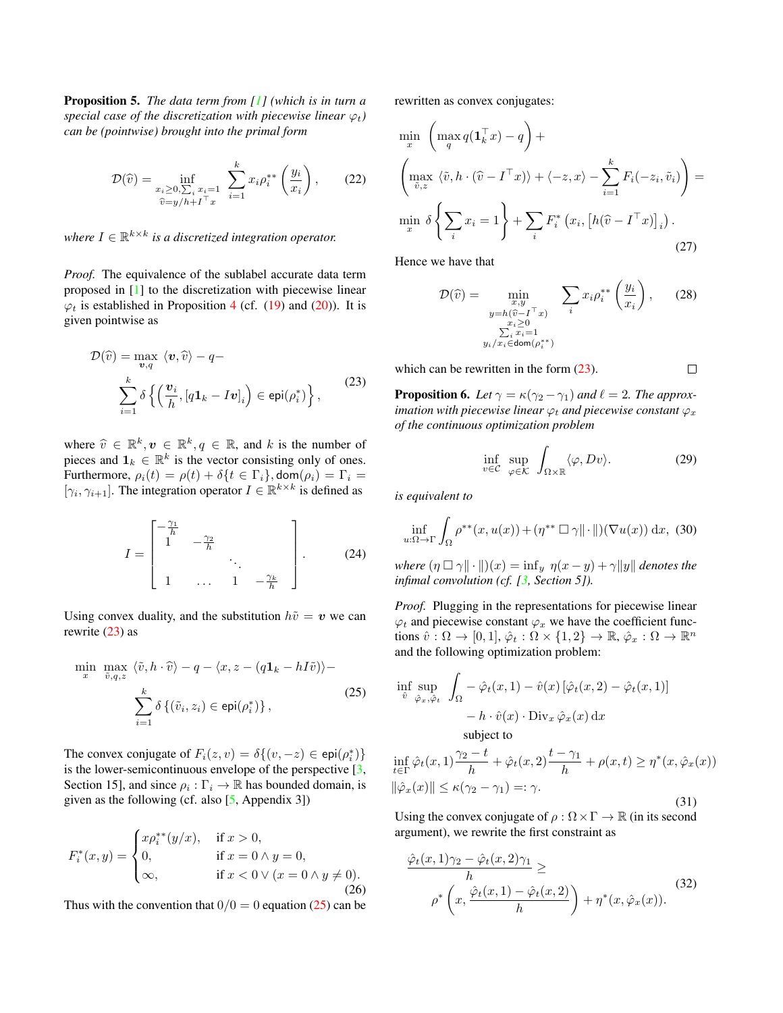<span id="page-2-4"></span>Proposition 5. *The data term from [\[1\]](#page-3-1) (which is in turn a special case of the discretization with piecewise linear*  $\varphi_t$ *) can be (pointwise) brought into the primal form*

$$
\mathcal{D}(\widehat{v}) = \inf_{\substack{x_i \ge 0, \sum_i x_i = 1 \\ \widehat{v} = y/h + I^\top x}} \sum_{i=1}^k x_i \rho_i^{**} \left(\frac{y_i}{x_i}\right), \qquad (22)
$$

where  $I \in \mathbb{R}^{k \times k}$  is a discretized integration operator.

*Proof.* The equivalence of the sublabel accurate data term proposed in [\[1\]](#page-3-1) to the discretization with piecewise linear  $\varphi_t$  is established in Proposition [4](#page-1-5) (cf. [\(19\)](#page-1-6) and [\(20\)](#page-1-7)). It is given pointwise as

<span id="page-2-0"></span>
$$
\mathcal{D}(\widehat{v}) = \max_{v,q} \langle v, \widehat{v} \rangle - q - \sum_{i=1}^{k} \delta \left\{ \left( \frac{v_i}{h}, [q1_k - Iv]_i \right) \in \text{epi}(\rho_i^*) \right\},\tag{23}
$$

where  $\hat{v} \in \mathbb{R}^k, v \in \mathbb{R}^k, q \in \mathbb{R}$ , and k is the number of pieces and 1,  $\in \mathbb{R}^k$  is the vector consisting only of ones pieces and  $\mathbf{1}_k \in \mathbb{R}^k$  is the vector consisting only of ones. Furthermore,  $\rho_i(t) = \rho(t) + \delta\{t \in \Gamma_i\}$ , dom $(\rho_i) = \Gamma_i$ [ $\gamma_i, \gamma_{i+1}$ ]. The integration operator  $I \in \mathbb{R}^{k \times k}$  is defined as

$$
I = \begin{bmatrix} -\frac{\gamma_1}{h} & & & \\ 1 & -\frac{\gamma_2}{h} & & \\ & \ddots & \ddots & \\ 1 & \cdots & 1 & -\frac{\gamma_k}{h} \end{bmatrix} . \tag{24}
$$

Using convex duality, and the substitution  $h\tilde{v} = v$  we can rewrite [\(23\)](#page-2-0) as

<span id="page-2-1"></span>
$$
\min_{x} \max_{\tilde{v}, q, z} \langle \tilde{v}, h \cdot \hat{v} \rangle - q - \langle x, z - (q \mathbf{1}_k - h I \tilde{v}) \rangle -
$$
\n
$$
\sum_{i=1}^{k} \delta \{ (\tilde{v}_i, z_i) \in \text{epi}(\rho_i^*) \},
$$
\n(25)

The convex conjugate of  $F_i(z, v) = \delta\{(v, -z) \in \text{epi}(\rho_i^*)\}$ is the lower-semicontinuous envelope of the perspective  $[3, 3]$  $[3, 3]$ Section 15], and since  $\rho_i : \Gamma_i \to \mathbb{R}$  has bounded domain, is given as the following (cf. also  $[5,$  Appendix 3])

$$
F_i^*(x, y) = \begin{cases} x\rho_i^{**}(y/x), & \text{if } x > 0, \\ 0, & \text{if } x = 0 \land y = 0, \\ \infty, & \text{if } x < 0 \lor (x = 0 \land y \neq 0). \end{cases}
$$
(26)

Thus with the convention that  $0/0 = 0$  equation [\(25\)](#page-2-1) can be

rewritten as convex conjugates:

$$
\min_{x} \left( \max_{q} q(\mathbf{1}_{k}^{\top} x) - q \right) +
$$
\n
$$
\left( \max_{\tilde{v},z} \langle \tilde{v}, h \cdot (\hat{v} - I^{\top} x) \rangle + \langle -z, x \rangle - \sum_{i=1}^{k} F_{i}(-z_{i}, \tilde{v}_{i}) \right) =
$$
\n
$$
\min_{x} \delta \left\{ \sum_{i} x_{i} = 1 \right\} + \sum_{i} F_{i}^{*} \left( x_{i}, \left[ h(\hat{v} - I^{\top} x) \right]_{i} \right).
$$
\n(27)

Hence we have that

$$
\mathcal{D}(\widehat{v}) = \min_{\substack{x,y \\ y=h(\widehat{v}-I^{\top}x) \\ x_i \ge 0 \\ \sum_{i} x_i = 1 \\ y_i/x_i \in \text{dom}(\rho_i^{**})}} \sum_{i} x_i \rho_i^{**} \left(\frac{y_i}{x_i}\right), \quad (28)
$$

which can be rewritten in the form  $(23)$ .

**Proposition 6.** Let  $\gamma = \kappa (\gamma_2 - \gamma_1)$  and  $\ell = 2$ . The approx*imation with piecewise linear*  $\varphi_t$  *and piecewise constant*  $\varphi_x$ *of the continuous optimization problem*

$$
\inf_{v \in \mathcal{C}} \sup_{\varphi \in \mathcal{K}} \int_{\Omega \times \mathbb{R}} \langle \varphi, Dv \rangle.
$$
 (29)

*is equivalent to*

<span id="page-2-3"></span>
$$
\inf_{u:\Omega\to\Gamma}\int_{\Omega}\rho^{**}(x,u(x)) + (\eta^{**}\square\gamma\|\cdot\|)(\nabla u(x))\,\mathrm{d}x,\tag{30}
$$

*where*  $(\eta \Box \gamma \Vert \cdot \Vert)(x) = \inf_{y} \eta(x - y) + \gamma \Vert y \Vert$  *denotes the infimal convolution (cf. [\[3,](#page-3-2) Section 5]).*

*Proof.* Plugging in the representations for piecewise linear  $\varphi_t$  and piecewise constant  $\varphi_x$  we have the coefficient functions  $\hat{v}: \Omega \to [0,1], \hat{\varphi}_t : \Omega \times \{1,2\} \to \mathbb{R}, \hat{\varphi}_x : \Omega \to \mathbb{R}^n$ and the following optimization problem:

$$
\inf_{\hat{v}} \sup_{\hat{\varphi}_x, \hat{\varphi}_t} \int_{\Omega} -\hat{\varphi}_t(x, 1) - \hat{v}(x) \left[ \hat{\varphi}_t(x, 2) - \hat{\varphi}_t(x, 1) \right] \n- h \cdot \hat{v}(x) \cdot \text{Div}_x \, \hat{\varphi}_x(x) \, \mathrm{d}x \n \text{subject to}
$$

<span id="page-2-2"></span>
$$
\inf_{t \in \Gamma} \hat{\varphi}_t(x, 1) \frac{\gamma_2 - t}{h} + \hat{\varphi}_t(x, 2) \frac{t - \gamma_1}{h} + \rho(x, t) \ge \eta^*(x, \hat{\varphi}_x(x))
$$
  

$$
\|\hat{\varphi}_x(x)\| \le \kappa(\gamma_2 - \gamma_1) =: \gamma.
$$
 (31)

Using the convex conjugate of  $\rho : \Omega \times \Gamma \to \mathbb{R}$  (in its second argument), we rewrite the first constraint as

$$
\frac{\hat{\varphi}_t(x,1)\gamma_2 - \hat{\varphi}_t(x,2)\gamma_1}{h} \ge \rho^* \left(x, \frac{\hat{\varphi}_t(x,1) - \hat{\varphi}_t(x,2)}{h}\right) + \eta^*(x, \hat{\varphi}_x(x)).
$$
\n(32)

$$
\qquad \qquad \Box
$$